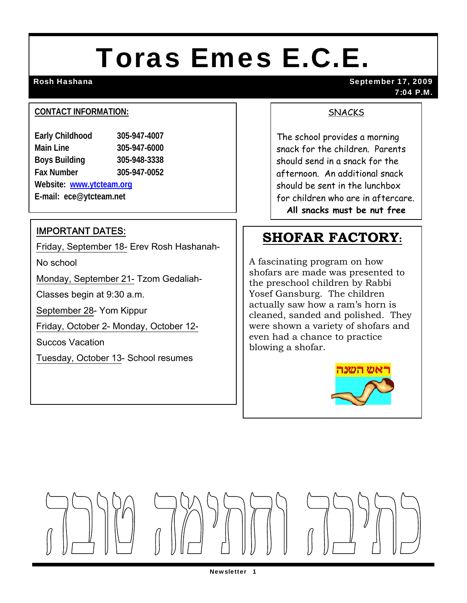# Toras Emes E.C.E.

Rosh Hashana September 17, 2009 7:04 P.M.

#### **CONTACT INFORMATION:**

| <b>Early Childhood</b>   | 305-947-4007 |
|--------------------------|--------------|
| <b>Main Line</b>         | 305-947-6000 |
| <b>Boys Building</b>     | 305-948-3338 |
| <b>Fax Number</b>        | 305-947-0052 |
| Website: www.ytcteam.org |              |
| E-mail: ece@ytcteam.net  |              |

IMPORTANT DATES:

Friday, September 18- Erev Rosh Hashanah-

No school

Monday, September 21- Tzom Gedaliah-

Classes begin at 9:30 a.m.

September 28- Yom Kippur

Friday, October 2- Monday, October 12-

Succos Vacation

Tuesday, October 13- School resumes

#### SNACKS

The school provides a morning snack for the children. Parents should send in a snack for the afternoon. An additional snack should be sent in the lunchbox for children who are in aftercare. **All snacks must be nut free**

## **SHOFAR FACTORY:**

A fascinating program on how shofars are made was presented to the preschool children by Rabbi Yosef Gansburg. The children actually saw how a ram's horn is cleaned, sanded and polished. They were shown a variety of shofars and even had a chance to practice blowing a shofar.



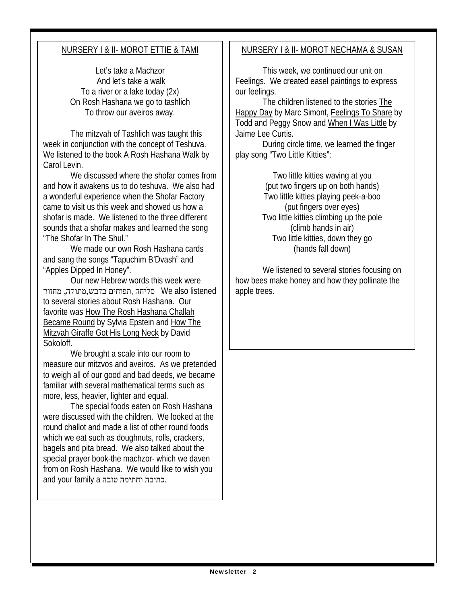#### NURSERY I & II- MOROT ETTIE & TAMI

Let's take a Machzor And let's take a walk To a river or a lake today (2x) On Rosh Hashana we go to tashlich To throw our aveiros away.

 The mitzvah of Tashlich was taught this week in conjunction with the concept of Teshuva. We listened to the book A Rosh Hashana Walk by Carol Levin.

 We discussed where the shofar comes from and how it awakens us to do teshuva. We also had a wonderful experience when the Shofar Factory came to visit us this week and showed us how a shofar is made. We listened to the three different sounds that a shofar makes and learned the song "The Shofar In The Shul."

 We made our own Rosh Hashana cards and sang the songs "Tapuchim B'Dvash" and "Apples Dipped In Honey".

 Our new Hebrew words this week were listened also We סליחה ,תפוחים בדבש,מתוקה, מחזור to several stories about Rosh Hashana. Our favorite was How The Rosh Hashana Challah Became Round by Sylvia Epstein and How The Mitzvah Giraffe Got His Long Neck by David Sokoloff.

 We brought a scale into our room to measure our mitzvos and aveiros. As we pretended to weigh all of our good and bad deeds, we became familiar with several mathematical terms such as more, less, heavier, lighter and equal.

 The special foods eaten on Rosh Hashana were discussed with the children. We looked at the round challot and made a list of other round foods which we eat such as doughnuts, rolls, crackers, bagels and pita bread. We also talked about the special prayer book-the machzor- which we daven from on Rosh Hashana. We would like to wish you and your family a טובה וחתימה כתיבה.

#### NURSERY I & II- MOROT NECHAMA & SUSAN

This week, we continued our unit on Feelings. We created easel paintings to express our feelings.

 The children listened to the stories The Happy Day by Marc Simont, Feelings To Share by Todd and Peggy Snow and When I Was Little by Jaime Lee Curtis.

 During circle time, we learned the finger play song "Two Little Kitties":

> Two little kitties waving at you (put two fingers up on both hands) Two little kitties playing peek-a-boo (put fingers over eyes) Two little kitties climbing up the pole (climb hands in air) Two little kitties, down they go (hands fall down)

 We listened to several stories focusing on how bees make honey and how they pollinate the apple trees.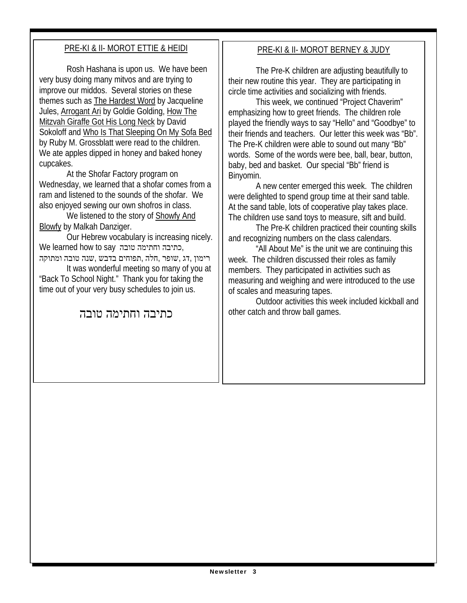#### PRE-KI & II- MOROT ETTIE & HEIDI

Rosh Hashana is upon us. We have been very busy doing many mitvos and are trying to improve our middos. Several stories on these themes such as The Hardest Word by Jacqueline Jules, Arrogant Ari by Goldie Golding, How The Mitzvah Giraffe Got His Long Neck by David Sokoloff and Who Is That Sleeping On My Sofa Bed by Ruby M. Grossblatt were read to the children. We ate apples dipped in honey and baked honey cupcakes.

 At the Shofar Factory program on Wednesday, we learned that a shofar comes from a ram and listened to the sounds of the shofar. We also enjoyed sewing our own shofros in class.

 We listened to the story of Showfy And Blowfy by Malkah Danziger.

 Our Hebrew vocabulary is increasing nicely. We learned how to say טובה וחתימה כתיבה, רימון ,דג ,שופר ,חלה ,תפוחים בדבש ,שנה טובה ומתוקה

 It was wonderful meeting so many of you at "Back To School Night." Thank you for taking the time out of your very busy schedules to join us.

### כתיבה וחתימה טובה

#### PRE-KI & II- MOROT BERNEY & JUDY

 The Pre-K children are adjusting beautifully to their new routine this year. They are participating in circle time activities and socializing with friends.

 This week, we continued "Project Chaverim" emphasizing how to greet friends. The children role played the friendly ways to say "Hello" and "Goodbye" to their friends and teachers. Our letter this week was "Bb". The Pre-K children were able to sound out many "Bb" words. Some of the words were bee, ball, bear, button, baby, bed and basket. Our special "Bb" friend is Binyomin.

 A new center emerged this week. The children were delighted to spend group time at their sand table. At the sand table, lots of cooperative play takes place. The children use sand toys to measure, sift and build.

 The Pre-K children practiced their counting skills and recognizing numbers on the class calendars.

 "All About Me" is the unit we are continuing this week. The children discussed their roles as family members. They participated in activities such as measuring and weighing and were introduced to the use of scales and measuring tapes.

 Outdoor activities this week included kickball and other catch and throw ball games.